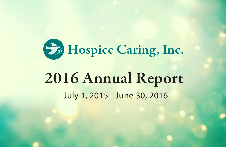

# 2016 Annual Report July 1, 2015 - June 30, 2016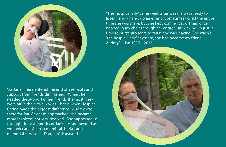

"As Jan's illness entered the end phase, visits and support from friends diminished. When she needed the support of her friends the most, they were off in their own worlds. That is when Hospice Caring made the biggest difference. Audrey was there for Jan. As death approached, she became more involved, not less involved. She supported us through the last months of Jan's life and beyond as we took care of Jan's committal, burial, and memorial service." - Dan, Jan's Husband

"The 'hospice lady' came week after week, always ready to listen, lend a hand, do an errand. Sometimes I cried the entire time she was there, but she kept coming back. Then, once, I napped in my chair through her entire visit, waking up just in time to burst into tears because she was leaving. She wasn't 'the hospice lady' anymore, she had become my friend Audrey." - Jan 1955 – 2016

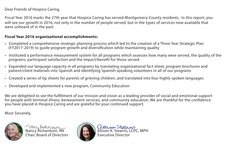Dear Friends of Hospice Caring,

Fiscal Year 2016 marks the 27th year that Hospice Caring has served Montgomery County residents. In this report, you will see our growth in 2016, not only in the number of people served, but in the types of services now available that were unheard of in the past.

### **Fiscal Year 2016 organizational accomplishments:**

- Completed a comprehensive strategic planning process which led to the creation of a Three Year Strategic Plan (FY2017-2019) to guide program growth and diversication while maintaining quality
- Instituted a performance measurement system for all programs which assesses how many were served, the quality of the programs, participant satisfaction and the impact/benefit for those served
- Expanded our language capacity in all programs by translating organizational fact sheet, program brochures and patient/client materials into Spanish and identifying Spanish-speaking volunteers in all of our programs
- Created a series of tip sheets for parents of grieving children, and translated into four highly spoken languages
- Developed and implemented a new program, Community Education

We are delighted to see the fulfillment of our mission and vision as a leading provider of social and emotional support for people with terminal illness, bereavement services, and community education. We are thankful for the confidence you have placed in Hospice Caring and are grateful for your continued support.

Most Sincerely,



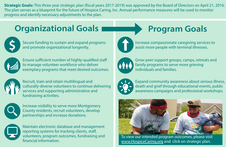**Strategic Goals:** This three year strategic plan (fiscal years 2017-2019) was approved by the Board of Directors on April 21, 2016. The plan serves as a blueprint for the future of Hospice Caring, Inc. Annual performance measures will be used to monitor progress and identify necessary adjustments to the plan.

# **Organizational Goals Program Goals**



Secure funding to sustain and expand programs and promote organizational longevity.



Ensure sufficient number of highly-qualified staff to manage volunteer workforce who deliver exemplary programs that meet desired outcomes.



Recruit, train and retain multilingual and culturally-diverse volunteers to continue delivering services and supporting administrative and fundraising activities.



Increase visibility to serve more Montgomery County residents, recruit volunteers, develop partnerships and increase donations.



Maintain electronic database and management reporting systems for tracking clients, staff, volunteers, program outcomes, fundraising and nancial information.





Increase compassionate caregiving services to assist more people with terminal illnesses.



Grow peer support groups, camps, retreats and family programs to serve more grieving individuals and families.



Expand community awareness about serious illness, death and grief through educational events, public awareness campaigns and professional workshops.



To view our intended program outcomes, please visit www.HospiceCaring.org and click on strategic plan.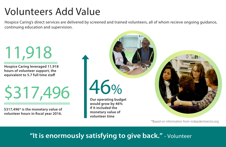# Volunteers Add Value

Hospice Caring's direct services are delivered by screened and trained volunteers, all of whom recieve ongoing guidance, continuing education and supervision.

11,918

**Hospice Caring leveraged 11,918 hours of volunteer support, the equivalent to 5.7 full time staff** 

\$317,496

**\$317,496\* is the monetary value of**  volunteer hours in fiscal year 2016.



\*Based on information from indepdentsector.org

# **"It is enormously satisfying to give back."** - Volunteer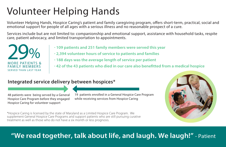# Volunteer Helping Hands

Volunteer Helping Hands, Hospice Caring's patient and family caregiving program, offers short-term, practical, social and emotional support for people of all ages with a serious illness and no reasonable prospect of a cure.

Services include but are not limited to: companionship and emotional support, assistance with household tasks, respite care, patient advocacy, and limited transportation to appointments.



- **· 109 patients and 251 family members were served this year**
- **· 2,394 volunteer hours of service to patients and families**
- **· 188 days was the average length of service per patient**
- **· 42 of the 43 patients who died in our care also benetted from a medical hospice**

## **Integrated service delivery between hospices\***

48 patients were being served by a General Hospice Care Program before they engaged Hospice Caring for volunteer support

19 patients enrolled in a General Hospice Care Program while receiving services from Hospice Caring



\*Hospice Caring is licensed by the state of Maryland as a Limited Hospice Care Program. We supplement General Hospice Care Programs and support patients who are still pursuing curative treatment as well as those who do not have a six month or less prognosis.

# **"We read together, talk about life, and laugh. We laugh!"** - Patient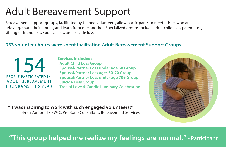# Adult Bereavement Support

Bereavement support groups, facilitated by trained volunteers, allow participants to meet others who are also grieving, share their stories, and learn from one another. Specialized groups include adult child loss, parent loss, sibling or friend loss, spousal loss, and suicide loss.

### **933 volunteer hours were spent facilitating Adult Bereavement Support Groups**



- **Services Included:**
- **· Adult Child Loss Group**
- **· Spousal/Partner Loss under age 50 Group**
- **· Spousal/Partner Loss ages 50-70 Group**
- **· Spousal/Partner Loss under age 70+ Group**
- **· Suicide Loss Group**
- **· Tree of Love & Candle Luminary Celebration**

## **"It was inspiring to work with such engaged volunteers!"**

-Fran Zamore, LCSW-C, Pro Bono Consultant, Bereavement Services

# **"This group helped me realize my feelings are normal."** - Participant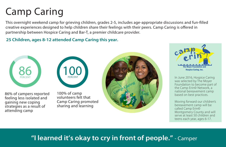# Camp Caring

This overnight weekend camp for grieving children, grades 2-5, includes age-appropriate discussions and fun-filled creative experiences designed to help children share their feelings with their peers. Camp Caring is offered in partnership between Hospice Caring and Bar-T, a premier childcare provider.

**25 Children, ages 8-12 attended Camp Caring this year.**





86% of campers reported feeling less isolated and gaining new coping strategies as a result of attending camp

100% of camp volunteers felt that Camp Caring promoted sharing and learning





In June 2016, Hospice Caring was selected by The Moyer Foundation to become part of the Camp Erin© Network, a national bereavement camp based on best practices.

Moving forward our children's bereavement camp will be called Camp Erin© Montgomery County and will serve at least 50 children and teens each year, ages 6-17.

## **"I learned it's okay to cry in front of people."** - Camper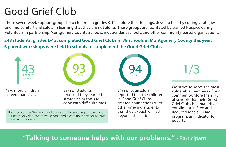# Good Grief Club

These seven-week support groups help children in grades K-12 explore their feelings, develop healthy coping strategies, and find comfort and safety in learning that they are not alone. These groups are facilitated by trained Hospice Caring volunteers in partnership Montgomery County Schools, independent schools, and other community-based organizations.

**248 students, grades k-12, completed Good Grief Clubs in 38 schools in Montgomery County this year. 6 parent workshops were held in schools to supplement the Good Grief Clubs.**



Thank you to the New York Life Foundation for enabling us to expand our reach, develop parent workshops, and create tip sheets for parents

43% more children served than last year

of grieving children.

93% of students reported they learned strategies or tools to cope with difficult times **94** PERCENT

94% of counselors reported that the children in Good Grief Clubs created connections with other grieving students that they expect will last beyond the club

1/3

We strive to serve the most vulnerable members of our community. More than 1/3 of schools that held Good Grief Clubs had majority enrollment in Free and Reduced Meals (FARMS) program, an indicator for poverty.

## **"Talking to someone helps with our problems."** - Participant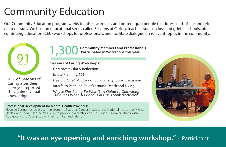# Community Education

Our Community Education program works to raise awareness and better equip people to address end-of-life and griefrelated issues. We host an educational series called Seasons of Caring, teach lessons on loss and grief in schools, offer continuing education (CEU) workshops for professionals, and facilitate dialogue on relevant topics in the community.



91% of Seasons of Caring attendees surveyed reported they gained valuable knowledge

**1,300** Community Members and Professionals<br>Participated in Workshops this year.  **Participated in Workshops this year.**

### **Seasons of Caring Workshops:**

- Caregivers Film & Reflection
- · Estate Planning 101
- · *Healing Grief: A Story of Survivorship* book discussion
- · Interfaith Panel on Beliefs around Death and Dying
- · *Why is She Acting So Weird?: A Guide to Cultivating Closeness When A Friend is in Crisis* book discussion

### **Professional Development for Mental Health Providers:**

Hospice Caring hosted presenters from the National Cancer Institute, the National Institute of Mental Health, and Jackie Ogg, MSW, LGSW, to provide a workshop on "Courageous Conversations with Adolescent and Young Adults, Their Families and Friends."



## **"It was an eye opening and enriching workshop."** - Participant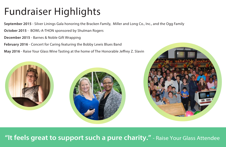# Fundraiser Highlights

**September 2015** - Silver Linings Gala honoring the Bracken Family, Miller and Long Co., Inc., and the Ogg Family

**October 2015** - BOWL-A-THON sponsored by Shulman Rogers

**December 2015** - Barnes & Noble Gift Wrapping

**February 2016** - Concert for Caring featuring the Bobby Lewis Blues Band

**May 2016** - Raise Your Glass Wine Tasting at the home of The Honorable Jeffrey Z. Slavin



## **273 children participated in Good Grief Clubs in 38 schools in Montgomery County "It feels great to support such a pure charity."** - Raise Your Glass Attendee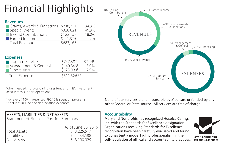# Financial Highlights

### **Revenues**

| Grants, Awards & Donations \$238,211 |             | 34.9% |
|--------------------------------------|-------------|-------|
| Special Events                       | \$320,821   | 46.9% |
| In-kind Contributions                | \$122,758   | 18.0% |
| Earned Income                        | $5 \t1.375$ | .2%   |
| <b>Total Revenue</b>                 | \$683,165   |       |

### **Expenses**

| <b>Program Services</b> | \$747,387    | 92.1% |
|-------------------------|--------------|-------|
| Management & General    | $$40,849*$   | 5.0%  |
| Fundraising             | $$23,090*$   | 2.9%  |
| Total Expense           | \$811,326 ** |       |

When needed, Hospice Caring uses funds from it's investment accounts to support operations.

\*For every \$100 in expenses, \$92.10 is spent on programs

| ASSETS, LIABILITIES & NET ASSETS        |  |  |
|-----------------------------------------|--|--|
| Statement of Financial Position Summary |  |  |

|                     | As of June 30, 2016 |
|---------------------|---------------------|
| <b>Total Assets</b> | \$3,225,517         |
| <b>Liabilities</b>  | 34,588              |
| Net Assets          | \$3,190,929         |



None of our services are reimbursable by Medicare or funded by any other Federal or State source. All services are free of charge.

### **Accountability**

Maryland Nonprofits has recognized Hospice Caring, Inc. with the Standards for Excellence designation. Organizations receiving Standards for Excellence recognition have been carefully evaluated and found to consistently model high professionalism in their self-regulation of ethical and accountability practices.

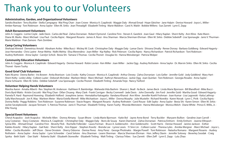# Thank you to our Volunteers

#### **Administrative, Garden, and Organizational Volunteers**

Sandra Bracken · Terry Buckler · Stella Campagna · Wai Ping Chan · Joan Crowe · Monica A. Czaplinski · Maggie Daly · Ahmad Emad · Hope Gleicher · Jane Halpin · Denise Howard · Joyce L. Miller · Amber Ramsay · Toni Robinson · Anna Saylor · Ellen M. Sirkis · Jean Threadgill · Elizabeth Tinling · Marie Waldron · Carol A. Walsh · Bobbie Willens · Sue Zarrett · Lynn E. Zepp

#### **Adult Bereavement Volunteers**

John A. Coggins · Lorine Coyle · Jade Davis · Carlos del Real · Zahra Dorranian · Robert Dymond · Caroline Finn · Steven E. Garelick · Joan Gaul · Hilary Kaplan · Sherri Kelty · Ann Kline · Kate Mann · Diane M. Marks · Marci Michael · Lisa Paul · Cecilia Rajnic · Margaret Rosario · James A. Rossi · Anu Sharman · Marcia Sherman-Ehrman · Ellen M. Sirkis · Debbie Sobeloff · Lisa Sponaugle · Janis V. Thurman · Marie Waldron · Fran Zamore · Pam Zembiec

#### **Camp Caring Volunteers**

Shehzad Ahmed · Demetrius Arnold · Abraham Aviles · Mike Bucci · Mickey W. Cook · Christopher Daly · Maggie Daly · Lamar Davis · Shivana Dinally · Renee Dorsey · Barbara Goldberg · Edward Hagarty · Jose Hernandez · Chris Lastre · Amar Mehta · Nidhi Mehta · Elisa Merendino · Joan Miller · Kip Nalley · Rick Peterson · Cecilia Rajnic · Nancy Richardson · Patrick Richardson · Toni Robinson · Audrey Rothstein · Anna Saylor · Carolyn Schick · Bexia Shi · Tamara S Thomas · Cecilia Thonet · Douglas Vo · Hanna Weissberger · Patricia Wolper

#### **Community Education Volunteers**

John A. Coggins · Monica A. Czaplinski · Edward Hagarty · Denise Howard · Robin Levien · Ken Miller · Joan Miller · Jackie Ogg · Audrey Rothstein · Anna Saylor · Dr. Marvin Sirkis · Ellen M. Sirkis · Cecilia Thonet · Karen Tuohy

#### **Good Grief Club Volunteers**

Kate Alcamo · Deena Barlev · Iris Bowen · Anita Branison · Lois Crooks · Kathy Crosson · Monica A. Czaplinski · Arthur Dewey · Zahra Dorranian · Lois Geller · Jennifer Gold · Jody Goldkind · Mary Hart · Sherri Kelty · Leslie Libby · Colleen Luzier · Deborah McIndoe · Marleen Meier · Marci Michael · Kathryn Niewenhous · Jackie Ogg · Joan Quinlan · Toni Robinson · Georgia Rosales · Anna Saylor · Diane Schwartz · Ellen M. Sirkis · Debbie Sobeloff · Lisa Sponaugle · Cecilia Thonet · Elizabeth Tinling · Amanda Trejo · Nancy Twiford

#### **Volunteer Helping Hands Volunteers**

Marsha Aaron · Amalia Alberti · Rev. Stephen M. Anderson · Kathleen R. Bainbridge · Waheeda Vida Bashmi · Sharon L. Beall · Ila Beck · James Beck · Linda Marie Biornson · Bill Blandford · Mike Bucci · Doris Byrd-Watts · Kristin Ceccotti · Wai Ping Chan · Difan Chuang · Mary Clark · Frank Corrigan · Becky Cromwell · Jade Davis · John Donnelly · Jim Ford · Jennifer Gold · Martha Good · Edward Hagarty · Pamela R. Hard · Raymond Hoewing · Elizabeth Holford · Josephine James · Hemalatha Katragatta · Vandana Kharod · Ann Kline · Jennifer Koehl Frohman · Joan Kumar · Lisa Lagowski · Katia Lathrop · Sally Marchessault · Jon R. May · Marleen Meier · Maria-Estella Merrell · Mike Michaelson · Joyce L. Miller · Donna Murphy · Julie Mustelin · Richard Noreikis · Karen Novak · Lynn C. Pivik · Cecilia Rajnic · Donna Reilly · Peggy Robbins · Toni Robinson · Suzanne Robinson · Stacie Rogers · Margaret Rosario · Audrey Rothstein · Carol Rouse · Edit Sayko · Anna Saylor · Bexia Shi · Karen Simon · Ellen M. Sirkis · Jackie Szczepkowski · Jacquie Tennant · S. Patricia Thomas · Janis V. Thurman · Elizabeth Tinling · Karen Tuohy · Rhonda Weinstein · Hanna Weissberger · Monica Welch · Diane White · Prince E. Willis, Jr. · Ellie Young

#### **Special Event Volunteers**

Cheryl Acapulco · Josh Acapulco · Michelle Allen · Donna Almany · Susan Bhore · Linda Marie Bjornson · Katie Bol · Jayne Anne Bond · Terry Buckler · Maryann Bullion · Geraline Joan Carroll · Lexy Costanzo · Stacy Costanzo · Monica A. Czaplinski · Christopher Daly · Maggie Daly · Boris de Souza · Karen Diamond · Zahra Dorranian · Patricia Einhorn · Emily Einhorn · Jeanne Ellinport · Sylvia Ellis · Ahmad Emad · Caroline Finn · Beverly Flick · Rochelle Follender · Laura Forman · Bruce A. Goldensohn · Ann Goldensohn · Scott Harris · Denise Howard · Janine Jackson · Esther Kaleko-Kravitz · Hilary Kaplan · Gail Katz · Sherri Kelty · Ann Kipper · Stephen Kravitz · Brenda Lee · Lynne Lewis · Yi Sinn Lin · Colleen Luzier · Theresa Lyles · Annika Mergner · Marci Michael · Joyce L. Miller · Cecilia Mustelin · Jeff Olson · Steve Ornstein · Sherry Osborne · Denise Perez · Amy Perez · George Photinakis · Margie Powell · Toni Robinson · Natasha Romano · Margaret Rosario · Audrey Rothstein · Anna Saylor · Anna Saylor · Lynn Schneider · Carol Seloire · Anu Sharman · Leann Sherman · Marcia Sherman-Ehrman · Hon. Jeffery Slavin · Jennifer Solovey · Beverley Soodak · Craig Spirka · Beth Stahl · Dan Stahl · Roberta Stahl · Elizabeth Stonesifer · Elizabeth Tinling · Walt Tinling · Clarissa Tribes · Sue Zarrett · Ellen Zeff · Lynn E. Zepp · Lulu Zhao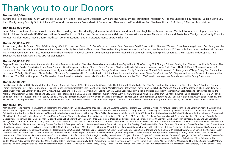# Thank you to our Donors

#### **Donors \$10,000+**

Sandra and Pete Bracken · Clark-Winchcole Foundation · Edge Floral Event Designers · J. Willard and Alice Marriott Foundation · Margaret A. Roberts Charitable Foundation · Miller & Long Co., Inc. · Montgomery County DHHS · Julie and Tomas Mustelin · Nancy Peery Marriott Foundation · New York Life Foundation · Ron Newlan · Richard E. & Nancy P. Marriott Foundation

#### **Donors \$5,000-9,999**

Sarah Adair · Lois K. and Conrad V. Aschenbach · Bar-T Holding, Inc. · Brendan Ogg Memorial Fund · Kenneth and Julie Cook · EagleBank · George Preston Marshall Foundation · Stephen and Jane Halpin · Bill and Pam Hard · HOAR Construction · Carole Kaminsky · Richard and Rebecca Kay · Mark Klein and Deneen Wilson · John M McMahon · Joan and Ken Miller · Montgomery County Council · Penguin Random House · Revere Bank · Rothstein Communications · Shulman, Rogers, Gandal, Pordy, Ecker, P.A.

#### **Donors \$3,000-4,999**

Avison Young · Bernie Buteau · City of Gaithersburg · Clark Construction Group, LLC · CohnReznick · Lisa and Sean Creamer · DAVIS Construction · Gimmel, Weiman, Ersek, Blomberg & Lewis, P.A. · Penny and Jim Gladhill · Sara and Jim Harris · HR Solutions, Inc. · Katzman Family Foundation · Thomas and Clare Keller · King Auto · Linda and Ian Kramer · Law Rocks, Inc. · M&T Charitable Foundation · Kathleen McCallum · Mead Witter Foundation, Inc. · Elisa Merendino · Michelle Mergner · National Lutheran Communities & Services · Ronald and Joy Paul · Sandy Spring Bank · Jeffery Z. Slavin · Susan E. and Joseph Sparmo · Stragetic Management Consultants, LLC · US Wellness, Inc.

#### **Donors \$1,000-2,999**

Stephen M. and Jane Anderson · American Institutre for Research · America's Charities · Deena Barlev · Jose Benitez · Capital Bank · Rita Cea · Lucy M.S. Chang · Colonial Parking, Inc. · Vincent L. and Linda Crivella · Ala B. Fisher · Susan Gordan Freed · Gerald and Carol Gimmel · Good Shepherd Lutheran Church · Daniel Gorman · Chickie and Leslie Grinspoon · Harwood House Thrift Shop · Healthful Touch Massage · Lawrence A. Hendershot · Tim Hester · Michele Kelly · Adam Kline · Lynne Lewis Cosmetics · Lisa McKillop and George Fordham · Mead Family Foundation · Mitchell Best Homes LLC · Montgomery Village Rotary Cub Foundation, Inc. · James M. Reilly · Geoffrey and Elaine Secker · Skidmore, Owings & Merrill LLP · Laurie Sparks · Spirit Airlines, Inc. · Jonathan Stephens · Steven VanGrack Law, P.C. · Stephen and Jacquie Tennant · Rodney and Jan Thompson · The Meltzer Group, Inc. · The Phoenician · Carol Trawick · Unitarian Universalist Church of Rockville · William A. and Lori Veirs · VWG Wealth Management Foundation · White Family Foundaion

#### **Donors \$500-999**

Bob Blakslee · Jacke and Bill Blandford · Christine Bragq · Braunstein Group, CPAs, PC · Jay and Lori Clogg · Kalle Dahl · Elizabeth Devlin-Foltz · Ed's Tree Service, Inc. · Kim Viti and Lou Fiorentino · Jane A Gordon · Gr Family Foundation, Inc. · Harriet Guttenberg · Healing Hands Chiropractic Health Care · Matthew G. Hard · Wini Herrmann · Jeffrey Huff · Kevin Kane · Jack P. Kelly · Vandana Kharod · Jeffrey Kolender · Ellen Lazar · Linowe Blocher LLP · Mark Lee Lofgren and Kathryn L. Niewnhous · Cara and Rob Marks · Maryland Live! Casino · Beverly O. and Gary McGarrity · Bobbie and Sidney McNairy · MemberCar · Jeannette and Patrick Mendonca · Iris Mersky · Montgomery College · Jackie and Clay Ogg · Park Potomac Bldg. E LLC · James S Patterson · Judith R Peres, LCSW-C · Narayanan and Anne Ramachandran · Dr. Mark Richards · Erich Roessler · Peter Roman · Randy and Sheri Rothstein · Russell Rothstein · Sandy Spring Lions Club · Simpson Law, PA · Marvin and Ellen Sirkis · Barry Slevin · Snyder Cohn · Soroptimist of Upper Mont. Co. · Sparkle n' Bloom New Wave Salon · Allison K. and Eric Stearns · The Pig/Eatwell DC · The Stempler Family Foundation · Total Wine & More · Mike and Sandy Vega · C. C. Veirs III · Terry R. Weiner · Wellborn Family Fund · Zalco Realty, Inc.· Zoe's Kitchen · Barbara Zolkiewicz

#### **Donors \$1-499**

Marsha Aaron · Jane Abrams · Toko Ackerman · Rosemarie and Byron Acuff · Claudia S. Adams · Douglas J. and Eva T. Adams · Adeptus Partners, LLC · Leonard S. Adler · Adventure Theatre · Patricia and Carol Ann Agayoff · Alex Mary A. Allman · Alpha Delta Kappa, MD Epsilon Chapter · Beth Altman · AmazonSmile Foundation · Brian W Ames · Marie B. Anderson · Jerry Anderson · Zaida Arguedas · Rosemary Arkoian · Artists & Makers Studios · As Kindred Spirits · Dorothy Auerbach · AW Sports. Inc: AW Promotionals · Barbara Jean Axelrod · Milt Axley · Diane Baillie · Anne Baker · Judy Baker · Dr. Robert W. Balentine · Anthony Balestrieri · Zetha V. Ballinger · Baltimore Ra Mary Madeline Bambeck · Kulley Bancroft · Rick and Sunny Banvard · Simone N. Barabasz · Tammy Barclay · Jeffrey Barker · Richard Barr · M. Theresa Barr · Stephanie Barrows · Vivian G. Bass · John Baugher · Richard and Doro Debbie Beins · Robert Bellison · Elaine Belman · Elizabeth Beltz · John Benchoff · Joyce Benson · Brian S. Bergman · Deborah Berkowitz · Robin R. Berman · Howard M. Berman · Deb Berner · Fran Bernstein · Randy and Lori Ber Rosalyn Beroza - Barbara P. Birnman · Nancy Bittle · Linda Marie Biornson · Diana June Blalock and Robert C. Jambou · Jacke and Bill Blandford · Fran and Bill Blot · Ernest and Ruth Anne Bond · Jay Bond · Jayne Anne Bond · - Jennifer Botchford - Maura Bowen - Bethany Bower - Bradley Hills Presbyterian Church - Kenneth and Marsha Braunstein - Margaret Rita Breakey - Brio Tuscan Grille - Fern J. Brodney - Elizabeth and Ronald Brouillard - Joan Tina Brown · Viola P. Brown Lee · Allyson D Browne, RN, BSN, MS · Judy L. Brubaker · Mike Bucci · Jerri Burgess · Mary B. Busby · James and Barbara Butler · Butler's Orchard · CG Coe & Son Inc. · C/O Altman Greenfield & Se W. Camp · Stella Campana · Robert Scott Campbell · Rosser and Barbara Campbell · Kathleen Canal · Elizabeth A. Canter · Robert B. Canter · Jane Carlin · Donald and Julia Carlson · Michael Jeff Carow · Joan Carroll · Roy Ca Castellan · Dan and Sharon Cayelli · Karin Chenoweth · Hannah Cheung · City of Hope - NE Region · William Clements · Quentin Clingerman · Clover Boutique · Bonny Cochran · Rosemary K. Coffey · Irwin Cohen · Carol Colacurci Lawrence and Ellen Coleman · Janice Commarato · Community Foundation for National Capital Region · Mickey Cook · Elaine H Cooper · Charles H Cooper · Baries H Cooper · Kathleen Coppedge · Colleen A Cornatzer · Corvette Clu of America · Costco Wholesale - Gaithersburg · Deborah Dodson Craft · Marie and Scott Creisher · Lois Crooks · Kathy Crosson · Joan and Brian G. Crowe · Crown Trophy · Margaret Cuddeback · Patricia and Glenn Culpepper · Ra Cutler · Monica A. Czaplinski · D.D. Daberko · Marie and Chris Daly · Damascus Community Bank · Aroon Datta · Deidre R. Davidson · Ann R. Davis · Camella Day · Chitra Malinee De Silva · Maureen and Boris P. de Souza · Gina Susanne Degraba · Joseph Del Balzo · Brianna R Demarco · Doris DeRisio · DeVol Funeral Home · Betsy Dewey · Karen Diamond · Marian Peck Dirda · Joseph Dito · Daphne Dixon · Barbara Doane · Kelle Dockery · Dawn Doebler · Di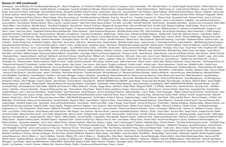#### **Donors \$1-499 (continued)**

Domingues · Don Hoffacker's Air Conditioning & Heating, Inc. · Mary A Dougherty · Dr. Thomas R. O'Brien and Dr. Lauren E. Cosgrove · Susan Drumheller · DTI · Michele Dubois · Dr. Sandra Dugoff · Betty Dunkins · Robert Dymo L. Eames · Erik Eden · Darick A Edmond · Cynthia Edwards · Lisa Edwards · Susan B. and Malcom Edwards · Patricia Einhorn · Edward Eisenstein · Elaine Robnett Moore · ElderCaring, LLC · Linda and Paul Ellington · Steven G. Emad · Anne and Jim Engel · Jody Engel · Gail and Robert Ewing · Alexandra Fairfield · Robert R. Farrar · Leona Faust · Nancy Fax · Lynn Feinberg· Carin Feldman · Eileen Feldman · Marlin and David Feldman · Nancy J. Feldma Dr. Bruce Feldman · Marie Ferquson · Nicole Ferm · James Fernandez · Dawn Ferrigno · Gordon Fields · Drs. Robert and Ellen Fields, MD · Genevieve Finn · Kelley C. Finn · Fiore Floral · Mollene and Alan Fisher · Michael F. M. Flanagan · Richard and Shirley Fletcher · Myron Fliegel · Flynn Accounting, LLC · Rochelle and Harvey Follender · Amy Fox · Nancy R. Fox · Franchise Investors LLC · Allyson Frank · Samantha Frank · Shannon Frank · Gary Franklin · Jude Eric Franklin · Scott Freedman · Toby Friedberg · Dr. Robert and Mrs. Harriet Friedman · Rich Frizzell · Joyce Fuller · Eileen and Joseph Gaffigan · Judy Gaines · James A. and Sandra L. Gallagher · Luis and Laura Gardner - Dina Garland - Barbara Garlock - Mary L. Garner - Laureen Gaston - Gator Ron's Zesty Sauces & Mixes - Jeri Gelb - Lois Geller - Kenneth Gemmell - David Gerber - Annabelle Gerendasy - Geriatric Care Counseli - Alicia Gilbert - Amy Ginsburg - Michele Giroux - Give Back Foundation - Nina Glasner - Stuart P. Glickman - Margaret M. Goergen-Rood - Ellen and Michael Gold - Jennifer Gold - Barbara Goldberg - Jewell Golden - Bruce A. Goldensohn · Alan Goldfine · Goldman, Sachs & Co. Matching Gift Program · Dr. Mervyn and Ruth Goldstein · Glenda H. Goodman · Paulette Goodman · Larry A. Gordon · William Gordon, III · Jeanine Leo Gould-Kostka · Gregory D. Sheri L. Grant · Julie Lynn Grant · Grapeseed America Bistro and Wine Bar · Diane Grauman · Great American Restaurants · Michelle Hunter Green, POA · Anita Greenberg · Ann & Harvey Greenberg · Marci Greenstein · F. Edith G Jacqueline Grenning · Michael Grimail · Shean Grossman · Bernard J. Gruszkiewicz · Clara Ann Gruszkiewicz · Noella Guay · Charles Gunn · Edward and Brigid Hagarty · Heather Hall · Paula Hall · Maureen Hanson · Judy Harley Harris · Scott Harris · Kelli Harrison · Mary and Timothy Hart · Kenneth and Anne Hartsell · John Harvey · Laurie Alban Havens · Barbara L. Hawes · Cory Hawkins · Healthy Steps · Janet G. Hecht · Patricia Heffelfinger · Ri Heilman · Bill Heneghan · Tina D Hensley · Andrew Hernandez · Christopher Heslin · Eric Hill · Douglas K. Hirsch · Jennifer Hitchcock · Marion Hoch · Mary Hocknell · Raymond Hoewing · Liza Holder · Elizabeth Holford · Darl A Hoston · Hudec Family Trust · Kimberly B. Hughes · Brian Hunt · Kevin Hunt · Sally Hunt · Marianne Hunt · Rachel Hunter · Michelle Hunter Green · Laurie Hurvitz · S. Jamesette Hutchins · Sarah Hutchins · IBM Matching Gra Innovative Business Interiors, Inc. · Corrie and Sean Jackson · Hazel T. James · Joseph James · Josephine James · Paul James · Flizabeth and Lizandro Jaramillo · Shahin Javan · Christine Jefferies · Clarice W Jefferson · J Agency · Kim Jones · Nancy C. Jones · Carol Jordan · Meredith Josephs · Joy of Motion Dance Center · JUSTGIVE · Sandra Kahn · Maria Lee Kaminski-Dinger · Hilary Kaplan · Rick Karp · Amy S. Kass · Stuart Katz · Arthur Kaufm J Kaufmann · Laura Keefe · Mark Keef · Karen Kelleher · Emil J. and Bonnie Keller · Kentlands Public Relations · Barbara L. Kerxton · Susan Kimmel · Althea M. King · Kenneth King · Michelle King · Robert King · Ann Kipper Alan Kline · Ann Kline · William Koegel · Roland and Sabine Kolbeck · Cheryl Kollin · Leta Kopp · Peter G. and Susan Kopperman · Thomas A. Korth · Janet Kossow · Julian Kossow · Larry M. and Miriam Kramer · Marc Kramer · S - Stephanie Kreps · Suzanne Krikawa · Gail Kropf · Barbara B. and John R. Krouse · David Kushner · William Lahs · Charla Lambertsen · Bill Lamir · Glory Lane · Larry G Lane · Robertson Lao and Patricia Pastorelli · Claude Katia Lathrop · Laurent and Enid Hodes Charitable Fund · Laytonsville Women's Club · Glen Lazovick · Hazel L. Leaphart · Betty Lee · Christina M. Lee · Nora Lee · Patricia Lee · Samantha Lee · Sampus Lee · Gelen Alsandy Ch Associates, Inc. · Roberta Lehrer · Marcie Leibowitz · Phyllis K. Lerner · Judith Jacobson Letendre · Bill Letzing · Andrea Levere · Debra Fried Levin · Martin Levine · Leslie Libby · Melissa Lieberman · Tamar Lieberman · · Deborah and Howard S. Lindenberg · Carolyn Lindon · Jessica Lipman · Alan Lipson · Evan Lipson · Julie Lipson · Douglas Lockwood · Carolyn Lodish · Amelia Lopez · Steve Lorberbaum · David Love · Elizabeth Lukin · Gordon Jennifer Lyons · John MacKenzie · Linda MacDermid · Verna Joy Macdonald · Virginia Macomber · Cathy Madden · Walter Malecki · Mamma Lucia Restaurants · Sally and Tom Marchessault · Kathleen Marciano · David and Diane M. Ma Leslie Y. Marks - Lori and Richard Marks - Rick Marks - Babette S. Margolies - Marie Marotta - Elizabeth Martinez - Kevin Marvell - Robert Mason - Matchbox Food Group - Bob Mathis - Carole Mattis - Lisa Max - Barbara S. Ma · Harrison B. McCawley III · John McCrohan · James T. McGinley · Shuk-Kwan McGovern · Timothy McGrath · McGuireWoods LLP · Deborah and Bruce McIndoe · Valencia McKenzie · Jeanne McLane · Marie McNamara · Marshall McNott · Jenn McRobbie · Tami McVey · David Mednick · Heather L. and James Mehigan · Evelyn C. Melander · David Mensh · Maria-Estella Merrell · Patricia and Lara Metrione · Peter Meyers and Laura Chin · Mike Michaelson · Liga Micha Annie Miller · Joyce L. Miller · Vernon and Sherry Miller, Jr. · Hazel Mingo · Robert and Marlene Mitchell · Mitchell & Best Homes · Zhenyu Mo · Wendell and Jo Ann Mohr · Britta and Nick Monaco · Anne Montgomery · Leo Mont Kimberly A. Moran · John P. Morgan · Susan D. Moran · John Morgan · Yvonne Moritz · Cheryl Morris · MOUNT LEBANON FELLOWSHIP · Janet Moyer · Donna and John Murphy · Kevin Murphy · lan Myers · Sheila R. Myers · Simon Nadler Naomi Naierman · James Nalls · Shirley Nasoff · National Alliance for Grieving Children · Tresa Nebel · Twila Neeld · Robb & Betsy Newman · Next Generation Constellations · NEXT GENERATION NETWORK · Kenneth Nickels · Jack Carolinda Nolan · Normandie Farm · Ruth Oakes · Ralph W. and Suzanne F. Offutt · Michael C. O'Grady · Peggy Okane · Jeff Olson · Betty O'Neal · Margaret O'Neill · L A O'Reilly · Nelson Ortiz · Harold Ornstein · Eduardo Ort Arthur J. Paholski · Paisano's Rockville · Pampered Nails and Day Spa · Panera Bread · Mary Parker · Robert P. Parker and Nancy Gordon · Thomas Parker, Jr. · Mina Parsont · Archana D Patel · Diane Paul · Jacqueline Paul · Joseph Pellicano · Lynn C. and Larry Pendleton · Sandy Perlstein · Sarah Petermann · David Peterson · Janis H. and Robert Peterson · Marea Petrelles · Joan E. Phalen · Karen Pierangeli · Pilgrim United Church of Christ · K Ploshnick · Carol Plummer · Laura L. Pompa · Kathy Poole · Poolesville Memorial United Methodist Church · Katherine Poore · Karen S. Portner · Potomac Pizza · Michele and Charles Potter · Shirley Y. Powell · Joseph Prescot Preston · Roslyn Price · John R. Purcell · Allan and Jeane Anne Rabil · Raffa Wealth Management · Cecilia Rajnic · Amber S. Ramsay · Stephanie Rapp · Leslye PJ Reaves · Kent Reed · Cathy and Bob Reeves · Nancy P. Regelin · Reinhalter · Tom Richards · Nancy and Joe Richardson · Kendyl Ricketts · Sharon K. Rifkin · Karen Riibner · Patricia A. Ritter · James Robeson · Mary Elizabeth Robinson · Peter Robinson · Rockville United Church · Dan and Lesley Rogers - Donald R. Rogers, Esq. - Sara Rosen - Sheri and Randy Rothstein - Carol Rouse - Royal Cup Coffee - Linda J. Ruegq - Susan Russell - Yvonne M. Russman - Frank Ryder - Safeway Fallsgrove - Barbara Safian - Be Sandelli and Ana Sosa Gutierrez · David R. Sands · Louise Saputo · Douglas and Karen Sargeant · Lynn Savacool · Anna and David Saylor · Martin P. and Jocelyn S. Schaffer · Patricia R. Schettino · Carolyn Schick · Schilling Engineering, LLC · Dan Schreibstein · Sheila Schrier · William B. Schroeder · Schumacher & Associates, Inc. · Laura Schwartz · Robert and Florence Schwartz · James J. Schweitzer · William Scott · Seasons 52 · Kathleen D. S Seek · Lucia Sekino · Emily Shacter · David Shapiro and Linda Garner · Rob Shapiro · Anu Sharman · Norman Shorb · Lawrence and Bobbi Shulman · Patricia L. Shultz · Cheryl Silver · Sue Ann Silvis · Karen Simon · Joseph and Carmine Smedira · Betsy and Steve Smith · Lynn Smith · Margie Smith · Mary Jo Smith · Shelagh Smith · Susan Smith · Steven Smith · Smith Center · Jennifer Solovey · Soltesz Associates, Inc. · Beverley Soodak · Susan Sorrel Spectrum International, Inc. · Joseph Sperling · Taylor C. Sphon · Jeffery Spieler · Samuel Spiritos · Craiq Spirka · Ruth Spodak · Maureen Squires · Catherine Stahl · Daniel and Roberta Stahl · Thomas H. Stanton · Colman Shelly Steiner · Stephen Anthony Salon · Nicolette Stearns · Stephanie Stern · Stevens Family Trust · Rebecca Ann St. John · Joan Stokes · Robyn Stone · Sharon Stout · Russell and Margaret A. Strand · Strathmore Hall Found Robert Streimer · Strosniders Hardware · Lori A. Swim · Robert Tarone · Edward Taubman · Marie Tax · Marion L. Taylor · Leah J. and Douglas R. Taynton · Adelaida Tejera · Theresa Testoni · The Atlas Performing Arts Center · The Ermi Group · The Fresh Market · The Garmond Agency, Inc · The Thirteen · The Thirteen Chamber Choir · The Wireless Center· Barbara Thompson · Marion R. Thompson · Mildred H. Thompson · Russell Thompson · Cecilia Thon Jean Threadgill · Elsie Thull · Janis V. and Lawrence V. Thurman · Rosemary Tiernan · Tricia Tigani · Carolyn B. Tilley · Roz Timberg · Elizabeth Tinling · Glen and Melanie Todd · Trader Joe's · Sherry Trahan · Todd Tunnel Turner · Judy Tyson-Kopolow · United Way of Delaware · US One Home Improvement, LLC · Holly P. Van Goor · Steven Van Grack · Lynne Vance · David Vardeman · Evelyn L. (Lynn) Viehmann and A. Daniel Corenzwit · Vika Companies Michael P. and Mary G. Vincent · Brenda von Bargen · Eric Von Vorys · Barbara Wahlbrink · Barbara A. Waite-Jaques · Julie Walker · Carol Ann Walsh · Patti Walsh · Wendy Wang · Dennis Ward · Washinton Capitals's; Kettler Ca Joshua Wasserman · John A. Waters, Jr. · Carol A. Watkins · Kenneth J Watter, CPA · John A. Waters Jr. · Wedding Wire · Ellen Weiss · Stephanie Weiss · Hanna Weissberger · Monica Welch · Anne Marie Westerbaan-Klein · Nancy Westin-Colton - Kathleen Whisner - Diane White - Douglas E. and Nora A. Whitescarver - Whitetail Resort - Wildwood Kitchen - Betty Ann Williams - Katherine J. Williams - Sylvia M. Williams-Barnes - Helen Wilmarth - Silvia Winegard · Lauri Winter · Aileen and Will Wishnow · Vickie Witkin · Renee Wolf · Robert O. Wolf · Adam Yalowitz · Dorothy J. Yarrington Jawish · Michael Youmans · Katherine E. Young · Melissa Young · Christina Yuan Kim · F Zarrett · Liss Zauharov · Cecile H. Zimmer · William Zink · Shannon Zlotnik · Phyllis J. Zumbrun and Elwood Swam · Diane L. Zutant